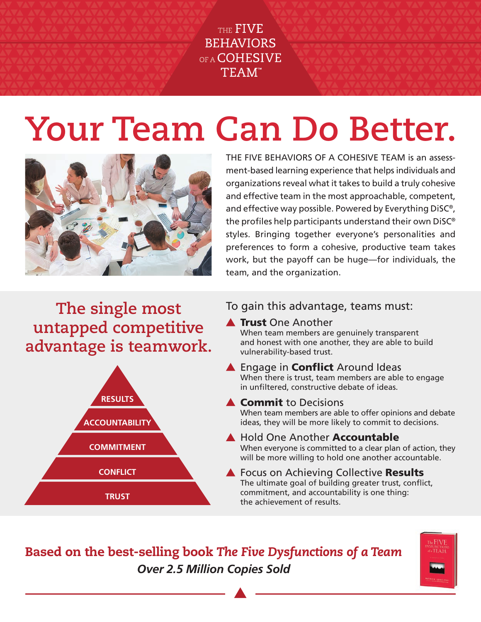THE FIVE **BEHAVIORS** OF A COHESIVE TEAM<sup>\*</sup>

# **Your Team Can Do Better.**



THE FIVE BEHAVIORS OF A COHESIVE TEAM is an assessment-based learning experience that helps individuals and organizations reveal what it takes to build a truly cohesive and effective team in the most approachable, competent, and effective way possible. Powered by Everything DiSC®, the profiles help participants understand their own DiSC® styles. Bringing together everyone's personalities and preferences to form a cohesive, productive team takes work, but the payoff can be huge—for individuals, the team, and the organization.

**The single most untapped competitive advantage is teamwork.**



### To gain this advantage, teams must:

**A Trust One Another** 

When team members are genuinely transparent and honest with one another, they are able to build vulnerability-based trust.

▲ Engage in **Conflict** Around Ideas

When there is trust, team members are able to engage in unfiltered, constructive debate of ideas.

### **A** Commit to Decisions

When team members are able to offer opinions and debate ideas, they will be more likely to commit to decisions.

**A** Hold One Another **Accountable** When everyone is committed to a clear plan of action, they will be more willing to hold one another accountable.

#### ▲ Focus on Achieving Collective Results The ultimate goal of building greater trust, conflict, commitment, and accountability is one thing: the achievement of results.

Based on the best-selling book *The Five Dysfunctions of a Team Over 2.5 Million Copies Sold*